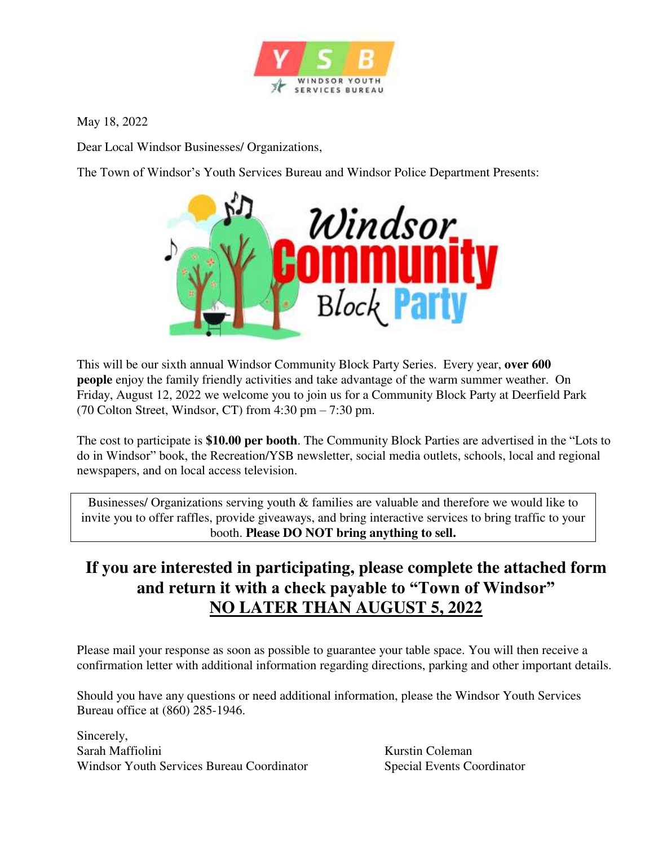

May 18, 2022

Dear Local Windsor Businesses/ Organizations,

The Town of Windsor's Youth Services Bureau and Windsor Police Department Presents:



This will be our sixth annual Windsor Community Block Party Series. Every year, **over 600 people** enjoy the family friendly activities and take advantage of the warm summer weather. On Friday, August 12, 2022 we welcome you to join us for a Community Block Party at Deerfield Park (70 Colton Street, Windsor, CT) from  $4:30 \text{ pm} - 7:30 \text{ pm}$ .

The cost to participate is **\$10.00 per booth**. The Community Block Parties are advertised in the "Lots to do in Windsor" book, the Recreation/YSB newsletter, social media outlets, schools, local and regional newspapers, and on local access television.

Businesses/ Organizations serving youth & families are valuable and therefore we would like to invite you to offer raffles, provide giveaways, and bring interactive services to bring traffic to your booth. **Please DO NOT bring anything to sell.**

## **If you are interested in participating, please complete the attached form and return it with a check payable to "Town of Windsor" NO LATER THAN AUGUST 5, 2022**

Please mail your response as soon as possible to guarantee your table space. You will then receive a confirmation letter with additional information regarding directions, parking and other important details.

Should you have any questions or need additional information, please the Windsor Youth Services Bureau office at (860) 285-1946.

Sincerely, Sarah Maffiolini Kurstin Coleman Windsor Youth Services Bureau Coordinator Special Events Coordinator